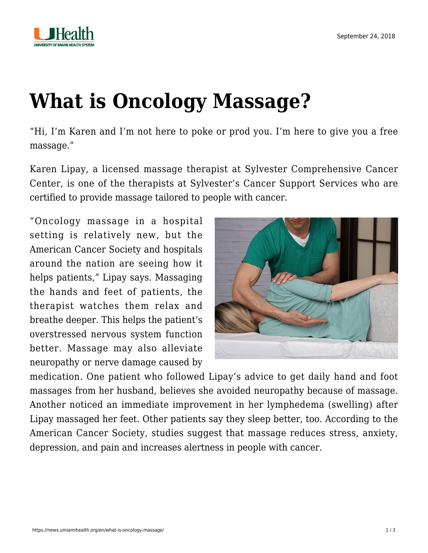

## **[What is Oncology Massage?](https://news.umiamihealth.org/en/what-is-oncology-massage/)**

"Hi, I'm Karen and I'm not here to poke or prod you. I'm here to give you a free massage."

Karen Lipay, a licensed massage therapist at Sylvester Comprehensive Cancer Center, is one of the therapists at Sylvester's [Cancer Support Services](https://umiamihealth.org/sylvester-comprehensive-cancer-center/cancer-support-services/massage) who are certified to provide massage tailored to people with cancer.

"Oncology massage in a hospital setting is relatively new, but the American Cancer Society and hospitals around the nation are seeing how it helps patients," Lipay says. Massaging the hands and feet of patients, the therapist watches them relax and breathe deeper. This helps the patient's overstressed nervous system function better. Massage may also alleviate neuropathy or nerve damage caused by



medication. One patient who followed Lipay's advice to get daily hand and foot massages from her husband, believes she avoided neuropathy because of massage. Another noticed an immediate improvement in her lymphedema (swelling) after Lipay massaged her feet. Other patients say they sleep better, too. According to the American Cancer Society, [studies](https://www.ncbi.nlm.nih.gov/pubmed/28098671) suggest that massage reduces [stress](https://news.umiamihealth.org/en/stress-management-for-cancer-patients/), anxiety, depression, and pain and increases alertness in people with cancer.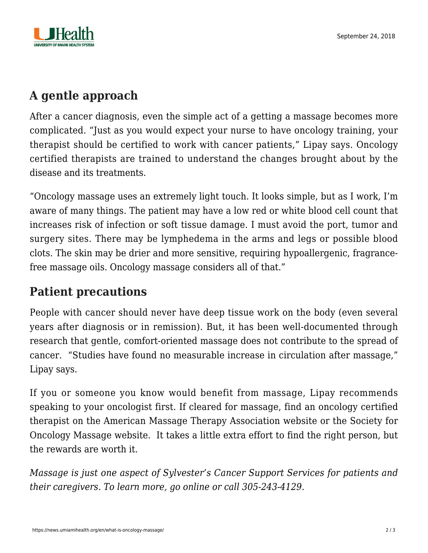

## **A gentle approach**

After a cancer diagnosis, even the simple act of a getting a massage becomes more complicated. "Just as you would expect your nurse to have oncology training, your therapist should be certified to work with cancer patients," Lipay says. Oncology certified therapists are trained to understand the changes brought about by the disease and its treatments.

"Oncology massage uses an extremely light touch. It looks simple, but as I work, I'm aware of many things. The patient may have a low red or white blood cell count that increases risk of infection or soft tissue damage. I must avoid the port, tumor and surgery sites. There may be lymphedema in the arms and legs or possible blood clots. The skin may be drier and more sensitive, requiring hypoallergenic, fragrancefree massage oils. Oncology massage considers all of that."

## **Patient precautions**

People with cancer should never have deep tissue work on the body (even several years after diagnosis or in remission). But, it has been well-documented through research that gentle, comfort-oriented massage does not contribute to the spread of cancer. "Studies have found no measurable increase in circulation after massage," Lipay says.

If you or someone you know would benefit from massage, Lipay recommends speaking to your oncologist first. If cleared for massage, find an oncology certified therapist on the American Massage Therapy Association [website](https://www.amtamassage.org/findamassage/index.html) or the Society for Oncology Massage [website.](https://www.s4om.org/) It takes a little extra effort to find the right person, but the rewards are worth it.

*Massage is just one aspect of Sylvester's Cancer [Support Services](https://umiamihealth.org/sylvester-comprehensive-cancer-center/cancer-support-services) for patients and their caregivers. To learn more, go [online](https://umiamihealth.org/sylvester-comprehensive-cancer-center/cancer-support-services) or call 305-243-4129.*